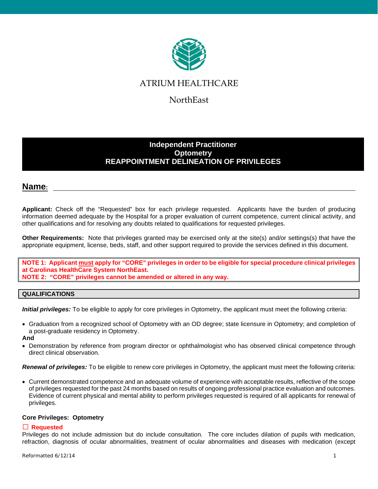

## ATRIUM HEALTHCARE

NorthEast

## **Independent Practitioner Optometry REAPPOINTMENT DELINEATION OF PRIVILEGES**

## **Name:**

**Applicant:** Check off the "Requested" box for each privilege requested. Applicants have the burden of producing information deemed adequate by the Hospital for a proper evaluation of current competence, current clinical activity, and other qualifications and for resolving any doubts related to qualifications for requested privileges.

**Other Requirements:** Note that privileges granted may be exercised only at the site(s) and/or settings(s) that have the appropriate equipment, license, beds, staff, and other support required to provide the services defined in this document.

**NOTE 1: Applicant must apply for "CORE" privileges in order to be eligible for special procedure clinical privileges at Carolinas HealthCare System NorthEast. NOTE 2: "CORE" privileges cannot be amended or altered in any way.**

### **QUALIFICATIONS**

*Initial privileges:* To be eligible to apply for core privileges in Optometry, the applicant must meet the following criteria:

• Graduation from a recognized school of Optometry with an OD degree; state licensure in Optometry; and completion of a post-graduate residency in Optometry.

**And**

• Demonstration by reference from program director or ophthalmologist who has observed clinical competence through direct clinical observation.

*Renewal of privileges:* To be eligible to renew core privileges in Optometry, the applicant must meet the following criteria:

• Current demonstrated competence and an adequate volume of experience with acceptable results, reflective of the scope of privileges requested for the past 24 months based on results of ongoing professional practice evaluation and outcomes. Evidence of current physical and mental ability to perform privileges requested is required of all applicants for renewal of privileges.

#### **Core Privileges: Optometry**

### **Requested**

Privileges do not include admission but do include consultation. The core includes dilation of pupils with medication, refraction, diagnosis of ocular abnormalities, treatment of ocular abnormalities and diseases with medication (except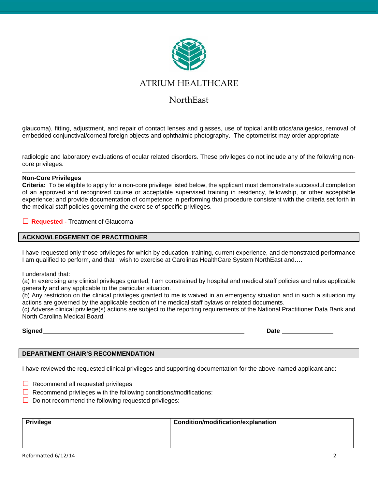

## ATRIUM HEALTHCARE

## NorthEast

glaucoma), fitting, adjustment, and repair of contact lenses and glasses, use of topical antibiotics/analgesics, removal of embedded conjunctival/corneal foreign objects and ophthalmic photography. The optometrist may order appropriate

radiologic and laboratory evaluations of ocular related disorders. These privileges do not include any of the following noncore privileges.

#### **Non-Core Privileges**

**Criteria:** To be eligible to apply for a non-core privilege listed below, the applicant must demonstrate successful completion of an approved and recognized course or acceptable supervised training in residency, fellowship, or other acceptable experience; and provide documentation of competence in performing that procedure consistent with the criteria set forth in the medical staff policies governing the exercise of specific privileges.

#### **Requested -** Treatment of Glaucoma

#### **ACKNOWLEDGEMENT OF PRACTITIONER**

I have requested only those privileges for which by education, training, current experience, and demonstrated performance I am qualified to perform, and that I wish to exercise at Carolinas HealthCare System NorthEast and….

I understand that:

(a) In exercising any clinical privileges granted, I am constrained by hospital and medical staff policies and rules applicable generally and any applicable to the particular situation.

(b) Any restriction on the clinical privileges granted to me is waived in an emergency situation and in such a situation my actions are governed by the applicable section of the medical staff bylaws or related documents.

(c) Adverse clinical privilege(s) actions are subject to the reporting requirements of the National Practitioner Data Bank and North Carolina Medical Board.

**Signed Date**

### **DEPARTMENT CHAIR'S RECOMMENDATION**

I have reviewed the requested clinical privileges and supporting documentation for the above-named applicant and:

- $\Box$  Recommend all requested privileges
- $\Box$  Recommend privileges with the following conditions/modifications:
- $\Box$  Do not recommend the following requested privileges:

| <b>Privilege</b> | Condition/modification/explanation |
|------------------|------------------------------------|
|                  |                                    |
|                  |                                    |
|                  |                                    |